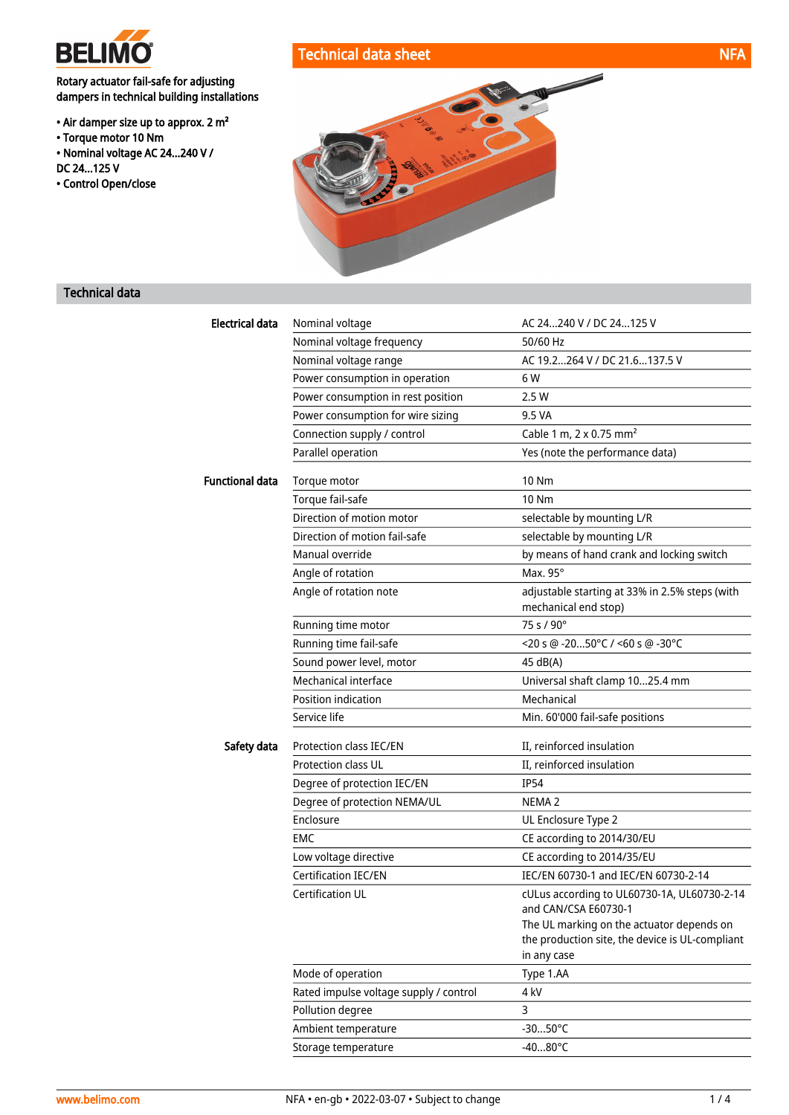

Rotary actuator fail-safe for adjusting dampers in technical building installations

- Air damper size up to approx. 2 m²
- Torque motor 10 Nm
- Nominal voltage AC 24...240 V /
- DC 24...125 V
- Control Open/close





## Technical data

| <b>Electrical data</b> | Nominal voltage                        | AC 24240 V / DC 24125 V                                                |
|------------------------|----------------------------------------|------------------------------------------------------------------------|
|                        | Nominal voltage frequency              | 50/60 Hz                                                               |
|                        | Nominal voltage range                  | AC 19.2264 V / DC 21.6137.5 V                                          |
|                        | Power consumption in operation         | 6 W                                                                    |
|                        | Power consumption in rest position     | 2.5 W                                                                  |
|                        | Power consumption for wire sizing      | 9.5 VA                                                                 |
|                        | Connection supply / control            | Cable 1 m, 2 x 0.75 mm <sup>2</sup>                                    |
|                        | Parallel operation                     | Yes (note the performance data)                                        |
| <b>Functional data</b> | Torque motor                           | <b>10 Nm</b>                                                           |
|                        | Torque fail-safe                       | <b>10 Nm</b>                                                           |
|                        | Direction of motion motor              | selectable by mounting L/R                                             |
|                        | Direction of motion fail-safe          | selectable by mounting L/R                                             |
|                        | Manual override                        | by means of hand crank and locking switch                              |
|                        | Angle of rotation                      | Max. 95°                                                               |
|                        | Angle of rotation note                 | adjustable starting at 33% in 2.5% steps (with<br>mechanical end stop) |
|                        | Running time motor                     | 75 s / 90°                                                             |
|                        | Running time fail-safe                 | <20 s @ -2050°C / <60 s @ -30°C                                        |
|                        | Sound power level, motor               | 45 dB(A)                                                               |
|                        | Mechanical interface                   | Universal shaft clamp 1025.4 mm                                        |
|                        | Position indication                    | Mechanical                                                             |
|                        | Service life                           | Min. 60'000 fail-safe positions                                        |
| Safety data            | Protection class IEC/EN                | II, reinforced insulation                                              |
|                        | <b>Protection class UL</b>             | II, reinforced insulation                                              |
|                        | Degree of protection IEC/EN            | <b>IP54</b>                                                            |
|                        | Degree of protection NEMA/UL           | NEMA <sub>2</sub>                                                      |
|                        | Enclosure                              | UL Enclosure Type 2                                                    |
|                        | EMC                                    | CE according to 2014/30/EU                                             |
|                        | Low voltage directive                  | CE according to 2014/35/EU                                             |
|                        | Certification IEC/EN                   | IEC/EN 60730-1 and IEC/EN 60730-2-14                                   |
|                        | <b>Certification UL</b>                | cULus according to UL60730-1A, UL60730-2-14                            |
|                        |                                        | and CAN/CSA E60730-1                                                   |
|                        |                                        | The UL marking on the actuator depends on                              |
|                        |                                        | the production site, the device is UL-compliant<br>in any case         |
|                        | Mode of operation                      | Type 1.AA                                                              |
|                        | Rated impulse voltage supply / control | 4 kV                                                                   |
|                        | Pollution degree                       | 3                                                                      |
|                        | Ambient temperature                    | $-3050^{\circ}$ C                                                      |
|                        | Storage temperature                    | $-4080^{\circ}$ C                                                      |
|                        |                                        |                                                                        |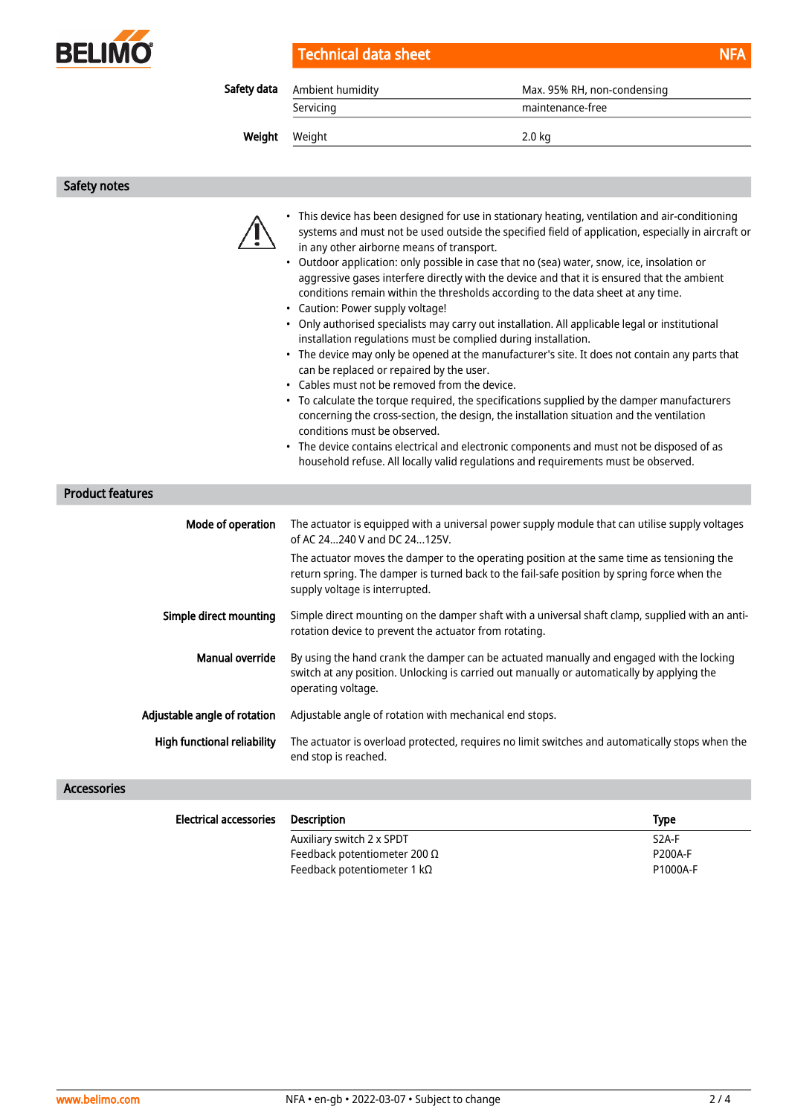

| Technical data sheet | <b>NFA</b> |
|----------------------|------------|
|----------------------|------------|

| Safety data<br>Ambient humidity |           | Max. 95% RH, non-condensing |
|---------------------------------|-----------|-----------------------------|
|                                 | Servicing | maintenance-free            |
| Weight                          | Weight    | 2.0 kg                      |
|                                 |           |                             |

Safety notes



- This device has been designed for use in stationary heating, ventilation and air-conditioning systems and must not be used outside the specified field of application, especially in aircraft or in any other airborne means of transport.
- Outdoor application: only possible in case that no (sea) water, snow, ice, insolation or aggressive gases interfere directly with the device and that it is ensured that the ambient conditions remain within the thresholds according to the data sheet at any time.
- Caution: Power supply voltage!
- Only authorised specialists may carry out installation. All applicable legal or institutional installation regulations must be complied during installation.
- The device may only be opened at the manufacturer's site. It does not contain any parts that can be replaced or repaired by the user.
- Cables must not be removed from the device.
- To calculate the torque required, the specifications supplied by the damper manufacturers concerning the cross-section, the design, the installation situation and the ventilation conditions must be observed.
- The device contains electrical and electronic components and must not be disposed of as household refuse. All locally valid regulations and requirements must be observed.

#### Product features

| Mode of operation                  | The actuator is equipped with a universal power supply module that can utilise supply voltages<br>of AC 24240 V and DC 24125V.                                                                                              |
|------------------------------------|-----------------------------------------------------------------------------------------------------------------------------------------------------------------------------------------------------------------------------|
|                                    | The actuator moves the damper to the operating position at the same time as tensioning the<br>return spring. The damper is turned back to the fail-safe position by spring force when the<br>supply voltage is interrupted. |
| Simple direct mounting             | Simple direct mounting on the damper shaft with a universal shaft clamp, supplied with an anti-<br>rotation device to prevent the actuator from rotating.                                                                   |
| Manual override                    | By using the hand crank the damper can be actuated manually and engaged with the locking<br>switch at any position. Unlocking is carried out manually or automatically by applying the<br>operating voltage.                |
| Adjustable angle of rotation       | Adjustable angle of rotation with mechanical end stops.                                                                                                                                                                     |
| <b>High functional reliability</b> | The actuator is overload protected, requires no limit switches and automatically stops when the<br>end stop is reached.                                                                                                     |

## Accessories

| <b>Electrical accessories</b> | Description                         | Type               |
|-------------------------------|-------------------------------------|--------------------|
|                               | Auxiliary switch 2 x SPDT           | S <sub>2</sub> A-F |
|                               | Feedback potentiometer 200 $\Omega$ | <b>P200A-F</b>     |
|                               | Feedback potentiometer 1 k $\Omega$ | P1000A-F           |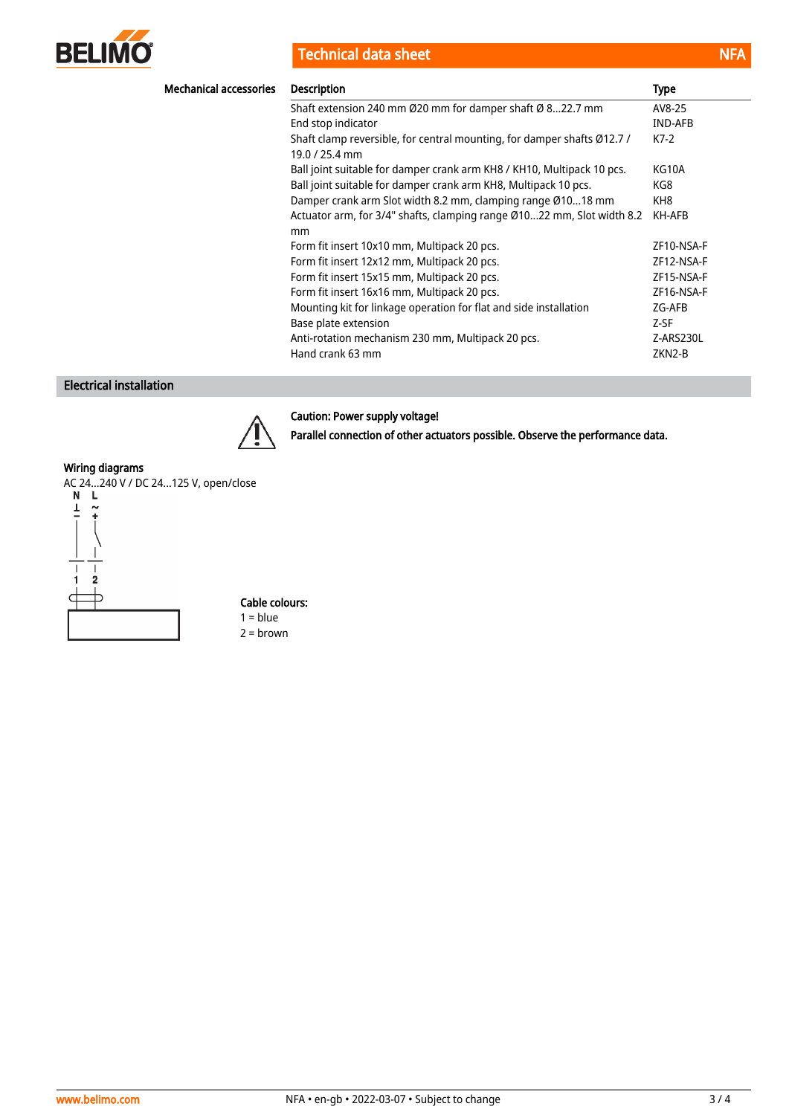

Technical data sheet NFA

| <b>Mechanical accessories</b> | <b>Description</b>                                                                        | Type       |
|-------------------------------|-------------------------------------------------------------------------------------------|------------|
|                               | Shaft extension 240 mm Ø20 mm for damper shaft Ø 822.7 mm                                 | AV8-25     |
|                               | End stop indicator                                                                        | IND-AFB    |
|                               | Shaft clamp reversible, for central mounting, for damper shafts Ø12.7 /<br>19.0 / 25.4 mm | $K7-2$     |
|                               | Ball joint suitable for damper crank arm KH8 / KH10, Multipack 10 pcs.                    | KG10A      |
|                               | Ball joint suitable for damper crank arm KH8, Multipack 10 pcs.                           | KG8        |
|                               | Damper crank arm Slot width 8.2 mm, clamping range Ø1018 mm                               | KH8        |
|                               | Actuator arm, for 3/4" shafts, clamping range Ø1022 mm, Slot width 8.2<br>mm              | KH-AFB     |
|                               | Form fit insert 10x10 mm, Multipack 20 pcs.                                               | ZF10-NSA-F |
|                               | Form fit insert 12x12 mm, Multipack 20 pcs.                                               | ZF12-NSA-F |
|                               | Form fit insert 15x15 mm, Multipack 20 pcs.                                               | ZF15-NSA-F |
|                               | Form fit insert 16x16 mm, Multipack 20 pcs.                                               | ZF16-NSA-F |
|                               | Mounting kit for linkage operation for flat and side installation                         | ZG-AFB     |
|                               | Base plate extension                                                                      | Z-SF       |
|                               | Anti-rotation mechanism 230 mm, Multipack 20 pcs.                                         | Z-ARS230L  |
|                               | Hand crank 63 mm                                                                          | ZKN2-B     |

# Electrical installation



## Caution: Power supply voltage!

Parallel connection of other actuators possible. Observe the performance data.

#### Wiring diagrams



Cable colours:  $1 = blue$ 2 = brown